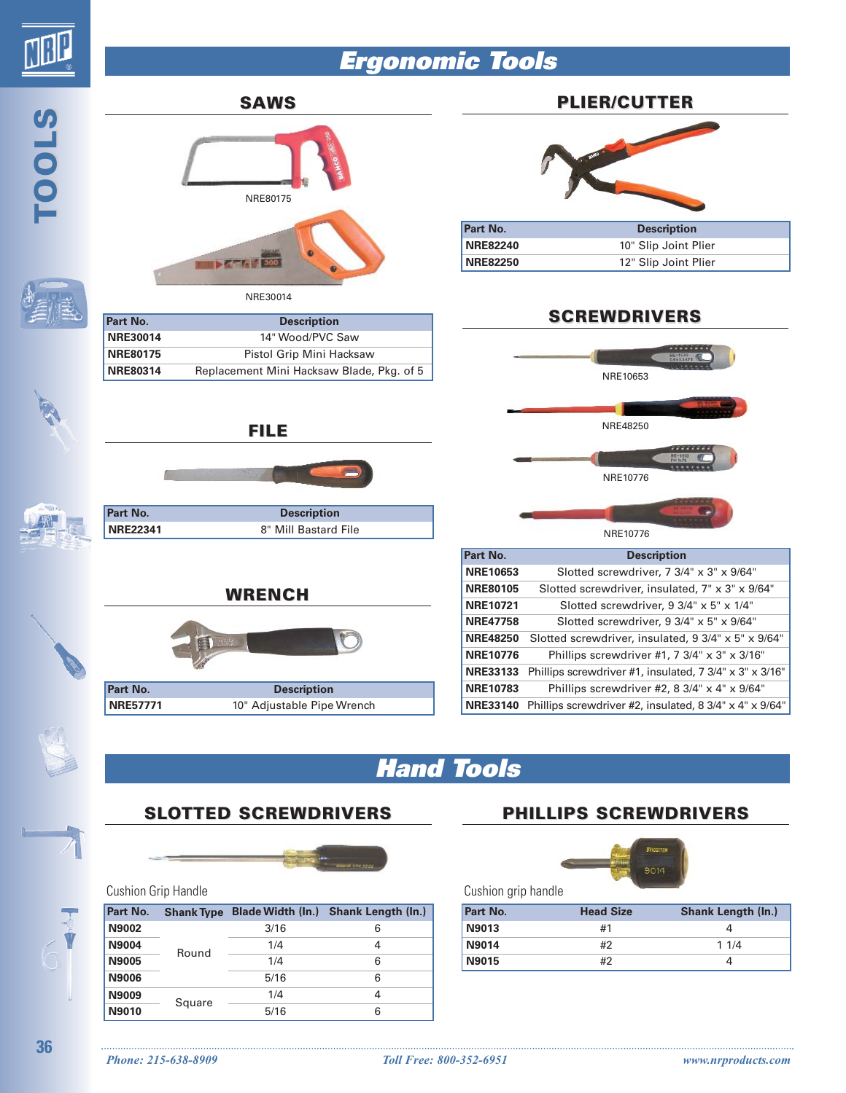

# **Ergonomic Tools**



# **Hand Tools**

## **SLOTTED SCREWDRIVERS**



#### Cushion Grip Handle

| <b>Part No.</b> | <b>Shank Type</b> | <b>Blade Width (In.)</b> | <b>Shank Length (In.)</b> |
|-----------------|-------------------|--------------------------|---------------------------|
| N9002           |                   | 3/16                     | 6                         |
| <b>N9004</b>    | Round             | 1/4                      | 4                         |
| N9005           |                   | 1/4                      | 6                         |
| N9006           |                   | 5/16                     | 6                         |
| N9009           | Square            | 1/4                      | 4                         |
| N9010           |                   | 5/16                     | 6                         |

## **PHILLIPS SCREWDRIVERS**



Cushion grip handle

| Part No.     | <b>Head Size</b> | <b>Shank Length (In.)</b> |
|--------------|------------------|---------------------------|
| N9013        | #1               |                           |
| <b>N9014</b> | #2               | 11/4                      |
| N9015        | #2               |                           |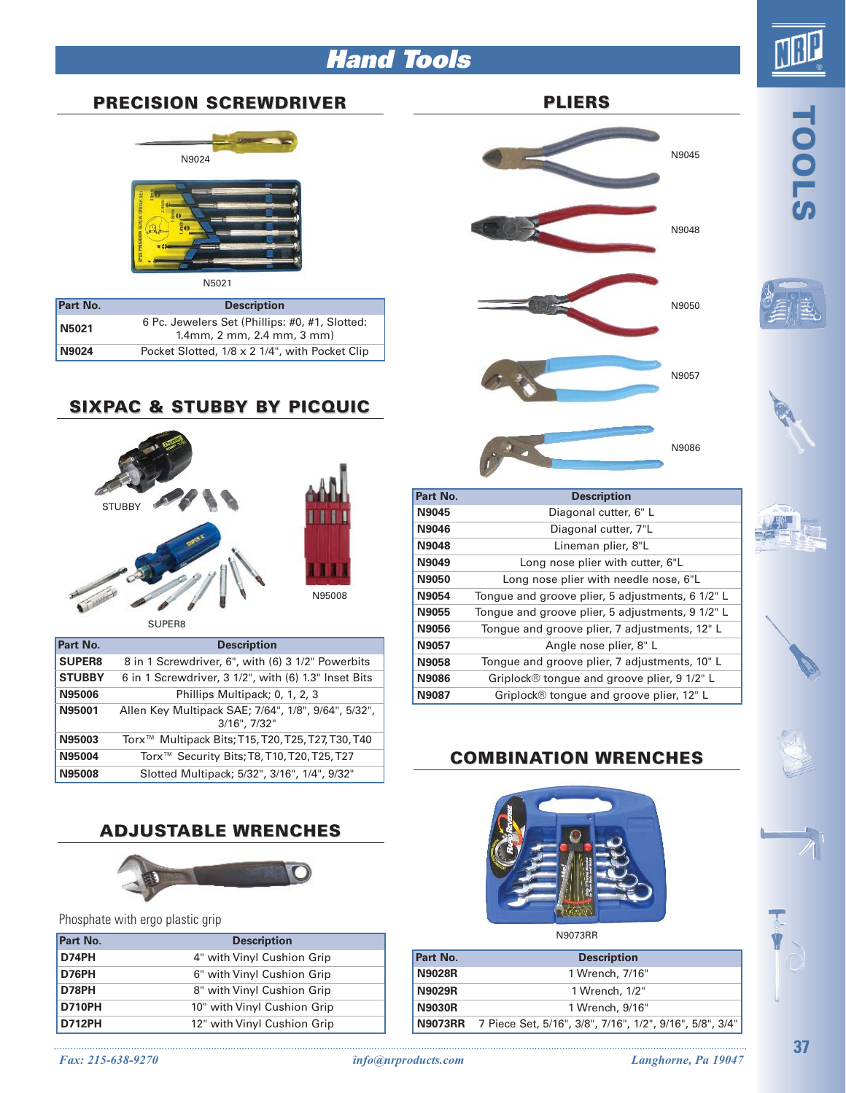# **Hand Tools**



## **PRECISION SCREWDRIVER**



| DRIVER |  |  |
|--------|--|--|
|        |  |  |
|        |  |  |
| E      |  |  |

N5021

| Part No.     | <b>Description</b>                                                                    |  |
|--------------|---------------------------------------------------------------------------------------|--|
| N5021        | 6 Pc. Jewelers Set (Phillips: #0, #1, Slotted:<br>$1.4$ mm, $2$ mm, $2.4$ mm, $3$ mm) |  |
| <b>N9024</b> | Pocket Slotted, 1/8 x 2 1/4", with Pocket Clip                                        |  |

#### **SIXPAC & STUBBY BY PICQUIC**



SUPER8

| Part No.      | <b>Description</b>                                                  |
|---------------|---------------------------------------------------------------------|
| <b>SUPER8</b> | 8 in 1 Screwdriver, 6", with (6) 3 1/2" Powerbits                   |
| <b>STUBBY</b> | 6 in 1 Screwdriver, 3 1/2", with (6) 1.3" Inset Bits                |
| N95006        | Phillips Multipack; 0, 1, 2, 3                                      |
| N95001        | Allen Key Multipack SAE; 7/64", 1/8", 9/64", 5/32",<br>3/16", 7/32" |
| N95003        | Torx <sup>™</sup> Multipack Bits; T15, T20, T25, T27, T30, T40      |
| N95004        | Torx <sup>™</sup> Security Bits; T8, T10, T20, T25, T27             |
| N95008        | Slotted Multipack; 5/32", 3/16", 1/4", 9/32"                        |

## **ADJUSTABLE WRENCHES**



Phosphate with ergo plastic grip

| Part No.      | <b>Description</b>          |  |
|---------------|-----------------------------|--|
| D74PH         | 4" with Vinyl Cushion Grip  |  |
| D76PH         | 6" with Vinyl Cushion Grip  |  |
| D78PH         | 8" with Vinyl Cushion Grip  |  |
| <b>D710PH</b> | 10" with Vinyl Cushion Grip |  |
| <b>D712PH</b> | 12" with Vinyl Cushion Grip |  |
|               |                             |  |



**TOOLS**





| Part No.     | <b>Description</b>                               |
|--------------|--------------------------------------------------|
| N9045        | Diagonal cutter, 6" L                            |
| <b>N9046</b> | Diagonal cutter, 7"L                             |
| N9048        | Lineman plier, 8"L                               |
| N9049        | Long nose plier with cutter, 6"L                 |
| N9050        | Long nose plier with needle nose, 6"L            |
| <b>N9054</b> | Tongue and groove plier, 5 adjustments, 6 1/2" L |
| N9055        | Tongue and groove plier, 5 adjustments, 9 1/2" L |
| N9056        | Tongue and groove plier, 7 adjustments, 12" L    |
| N9057        | Angle nose plier, 8" L                           |
| N9058        | Tongue and groove plier, 7 adjustments, 10" L    |
| <b>N9086</b> | Griplock® tongue and groove plier, 9 1/2" L      |
| N9087        | Griplock® tonque and groove plier, 12" L         |

## **COMBINATION WRENCHES**



**Part No. Description N9028R** 1 Wrench, 7/16" **N9029R** 1 Wrench, 1/2" **N9030R** 1 Wrench, 9/16" **N9073RR** 7 Piece Set, 5/16", 3/8", 7/16", 1/2", 9/16", 5/8", 3/4"

*Fax: 215-638-9270 info@nrproducts.com Langhorne, Pa 19047*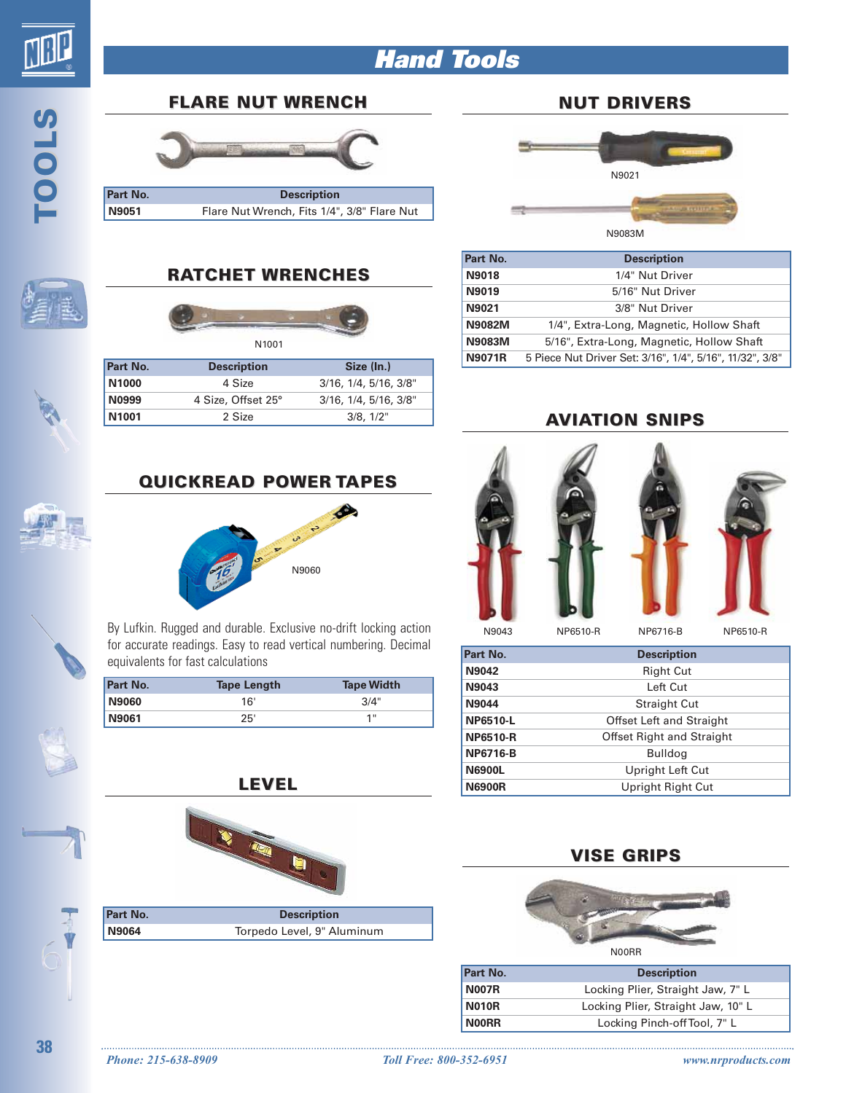

**TOOLS**

# **Hand Tools**

#### **FLARE NUT WRENCH**



**Part No. Description N9051** Flare Nut Wrench, Fits 1/4", 3/8" Flare Nut

## **RATCHET WRENCHES**



| <b>Part No.</b>   | <b>Description</b> | Size (In.)                       |
|-------------------|--------------------|----------------------------------|
| N <sub>1000</sub> | 4 Size             | $3/16$ , $1/4$ , $5/16$ , $3/8"$ |
| N0999             | 4 Size, Offset 25° | $3/16$ , $1/4$ , $5/16$ , $3/8"$ |
| N1001             | 2 Size             | 3/8, 1/2"                        |

#### **NUT DRIVERS**



| Part No.      | <b>Description</b>                                       |
|---------------|----------------------------------------------------------|
| <b>N9018</b>  | 1/4" Nut Driver                                          |
| N9019         | 5/16" Nut Driver                                         |
| N9021         | 3/8" Nut Driver                                          |
| <b>N9082M</b> | 1/4", Extra-Long, Magnetic, Hollow Shaft                 |
| <b>N9083M</b> | 5/16", Extra-Long, Magnetic, Hollow Shaft                |
| <b>N9071R</b> | 5 Piece Nut Driver Set: 3/16", 1/4", 5/16", 11/32", 3/8" |

#### **AVIATION SNIPS**







N9043

NP6510-R NP6716-B NP6510-R

| Part No.        | <b>Description</b>               |  |
|-----------------|----------------------------------|--|
| N9042           | <b>Right Cut</b>                 |  |
| N9043           | Left Cut                         |  |
| N9044           | <b>Straight Cut</b>              |  |
| <b>NP6510-L</b> | <b>Offset Left and Straight</b>  |  |
| <b>NP6510-R</b> | <b>Offset Right and Straight</b> |  |
| <b>NP6716-B</b> | <b>Bulldog</b>                   |  |
| <b>N6900L</b>   | Upright Left Cut                 |  |
| <b>N6900R</b>   | Upright Right Cut                |  |

#### **VISE GRIPS**



| Part No.     | <b>Description</b>                 |  |
|--------------|------------------------------------|--|
| <b>N007R</b> | Locking Plier, Straight Jaw, 7" L  |  |
| <b>N010R</b> | Locking Plier, Straight Jaw, 10" L |  |
| <b>NOORR</b> | Locking Pinch-off Tool, 7" L       |  |

# **QUICKREAD POWER TAPES**



By Lufkin. Rugged and durable. Exclusive no-drift locking action for accurate readings. Easy to read vertical numbering. Decimal equivalents for fast calculations

| <b>Part No.</b> | <b>Tape Length</b> | <b>Tape Width</b> |
|-----------------|--------------------|-------------------|
| <b>N9060</b>    | 16'                | 3/4"              |
| N9061           | 25'                | 1 !!              |

**LEVEL**



| <b>Part No.</b> | <b>Description</b>         |  |
|-----------------|----------------------------|--|
| N9064           | Torpedo Level, 9" Aluminum |  |

**38**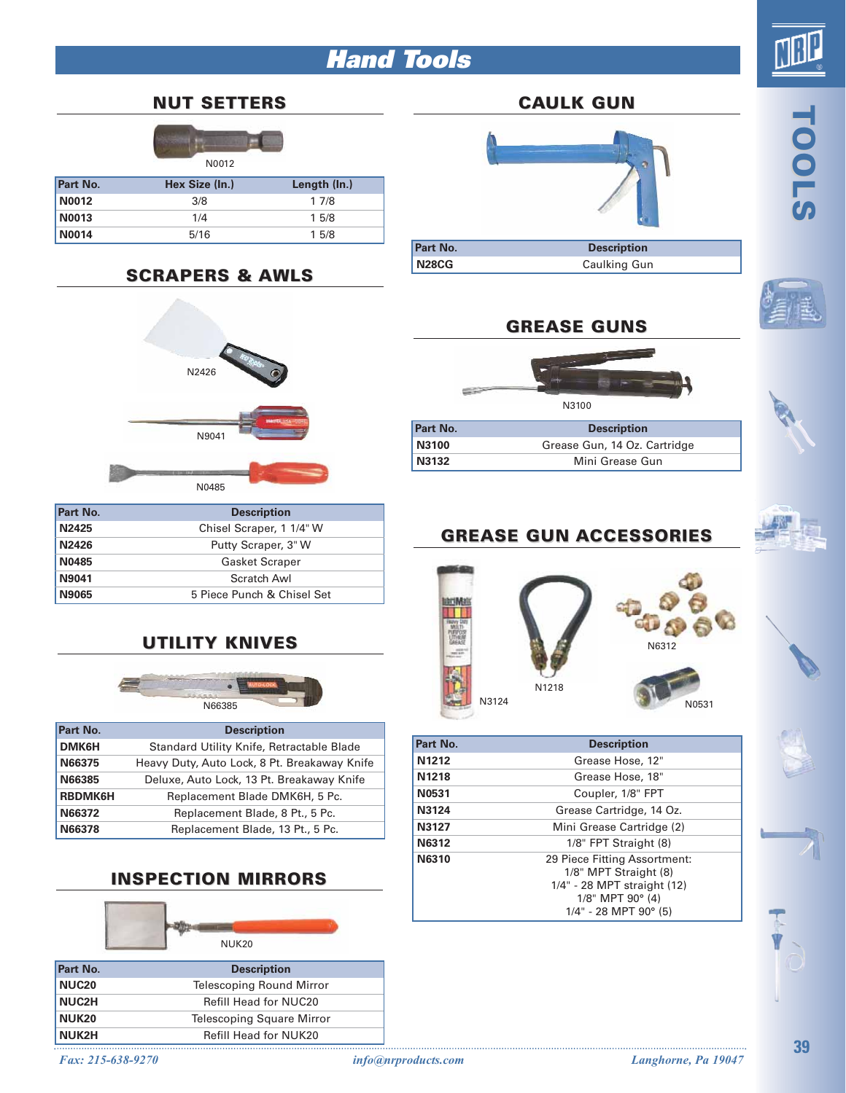# **Hand Tools**



**TOOLS**

#### **NUT SETTERS**



| <b>Part No.</b> | Hex Size (In.) | Length (In.) |
|-----------------|----------------|--------------|
| N0012           | 3/8            | 17/8         |
| <b>N0013</b>    | 1/4            | 15/8         |
| <b>N0014</b>    | 5/16           | 15/8         |

## **SCRAPERS SCRAPERS & AWLS**



| Part No.     | <b>Description</b>         |
|--------------|----------------------------|
| <b>N2425</b> | Chisel Scraper, 1 1/4" W   |
| N2426        | Putty Scraper, 3" W        |
| N0485        | <b>Gasket Scraper</b>      |
| <b>N9041</b> | Scratch Awl                |
| N9065        | 5 Piece Punch & Chisel Set |

## **UTILITY KNIVES**



| Part No.       | <b>Description</b>                           |
|----------------|----------------------------------------------|
| DMK6H          | Standard Utility Knife, Retractable Blade    |
| N66375         | Heavy Duty, Auto Lock, 8 Pt. Breakaway Knife |
| N66385         | Deluxe, Auto Lock, 13 Pt. Breakaway Knife    |
| <b>RBDMK6H</b> | Replacement Blade DMK6H, 5 Pc.               |
| N66372         | Replacement Blade, 8 Pt., 5 Pc.              |
| N66378         | Replacement Blade, 13 Pt., 5 Pc.             |

## **INSPECTION MIRRORS**



**NUK2H** Refill Head for NUK20





|          | N3100                        |
|----------|------------------------------|
| Part No. | <b>Description</b>           |
| N3100    | Grease Gun, 14 Oz. Cartridge |
| N3132    | Mini Grease Gun              |
|          |                              |

# **GREASE GUN ACCESSORIES**



| Part No.          | <b>Description</b>            |
|-------------------|-------------------------------|
| N <sub>1212</sub> | Grease Hose, 12"              |
| N1218             | Grease Hose, 18"              |
| N0531             | Coupler, 1/8" FPT             |
| N3124             | Grease Cartridge, 14 Oz.      |
| N3127             | Mini Grease Cartridge (2)     |
| N6312             | 1/8" FPT Straight (8)         |
| N6310             | 29 Piece Fitting Assortment:  |
|                   | 1/8" MPT Straight (8)         |
|                   | 1/4" - 28 MPT straight (12)   |
|                   | $1/8$ " MPT 90 $^{\circ}$ (4) |
|                   | $1/4$ " - 28 MPT 90° (5)      |

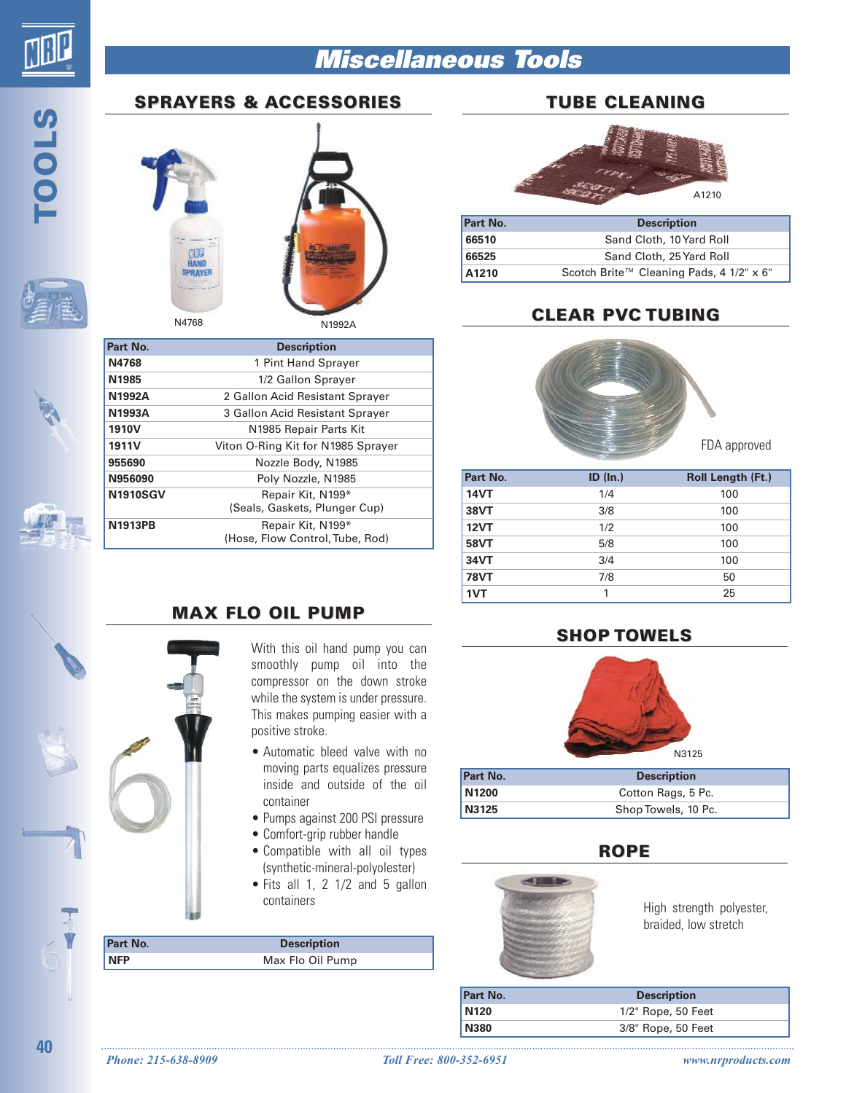# **Miscellaneous Tools**

# **SPRAYERS & ACCESSORIES**

**TOOLS**





N1992A

| Part No.          | <b>Description</b>                 |
|-------------------|------------------------------------|
| N4768             | 1 Pint Hand Sprayer                |
| N1985             | 1/2 Gallon Sprayer                 |
| N1992A            | 2 Gallon Acid Resistant Sprayer    |
| N1993A            | 3 Gallon Acid Resistant Sprayer    |
| 1910 <sub>V</sub> | N <sub>1985</sub> Repair Parts Kit |
| 1911 <sub>V</sub> | Viton O-Ring Kit for N1985 Sprayer |
| 955690            | Nozzle Body, N1985                 |
| N956090           | Poly Nozzle, N1985                 |
| <b>N1910SGV</b>   | Repair Kit, N199*                  |
|                   | (Seals, Gaskets, Plunger Cup)      |
| <b>N1913PB</b>    | Repair Kit, N199*                  |
|                   | (Hose, Flow Control, Tube, Rod)    |

#### **MAX FLO OIL PUMP**

With this oil hand pump you can smoothly pump oil into the compressor on the down stroke while the system is under pressure. This makes pumping easier with a positive stroke.

- Automatic bleed valve with no moving parts equalizes pressure inside and outside of the oil container
- Pumps against 200 PSI pressure
- Comfort-grip rubber handle
- Compatible with all oil types (synthetic-mineral-polyolester)
- Fits all 1, 2 1/2 and 5 gallon containers

| Part No.   | <b>Description</b> |  |
|------------|--------------------|--|
| <b>NFP</b> | Max Flo Oil Pump   |  |
|            |                    |  |

#### **TUBE CLEANING**



| Part No. | <b>Description</b>                       |
|----------|------------------------------------------|
| 66510    | Sand Cloth, 10 Yard Roll                 |
| 66525    | Sand Cloth, 25 Yard Roll                 |
| A1210    | Scotch Brite™ Cleaning Pads, 4 1/2" x 6" |

## **CLEAR PVC TUBING**



FDA approved

| Part No.    | $ID$ (In.) | <b>Roll Length (Ft.)</b> |
|-------------|------------|--------------------------|
| <b>14VT</b> | 1/4        | 100                      |
| <b>38VT</b> | 3/8        | 100                      |
| <b>12VT</b> | 1/2        | 100                      |
| <b>58VT</b> | 5/8        | 100                      |
| 34VT        | 3/4        | 100                      |
| <b>78VT</b> | 7/8        | 50                       |
| 1VT         |            | 25                       |

#### **SHOP TOWELS**



| <b>Part No.</b>   | <b>Description</b>  |
|-------------------|---------------------|
| N <sub>1200</sub> | Cotton Rags, 5 Pc.  |
| N3125             | Shop Towels, 10 Pc. |

#### **ROPE**



High strength polyester, braided, low stretch

| Part No.         | <b>Description</b> |
|------------------|--------------------|
| N <sub>120</sub> | 1/2" Rope, 50 Feet |
| <b>N380</b>      | 3/8" Rope, 50 Feet |